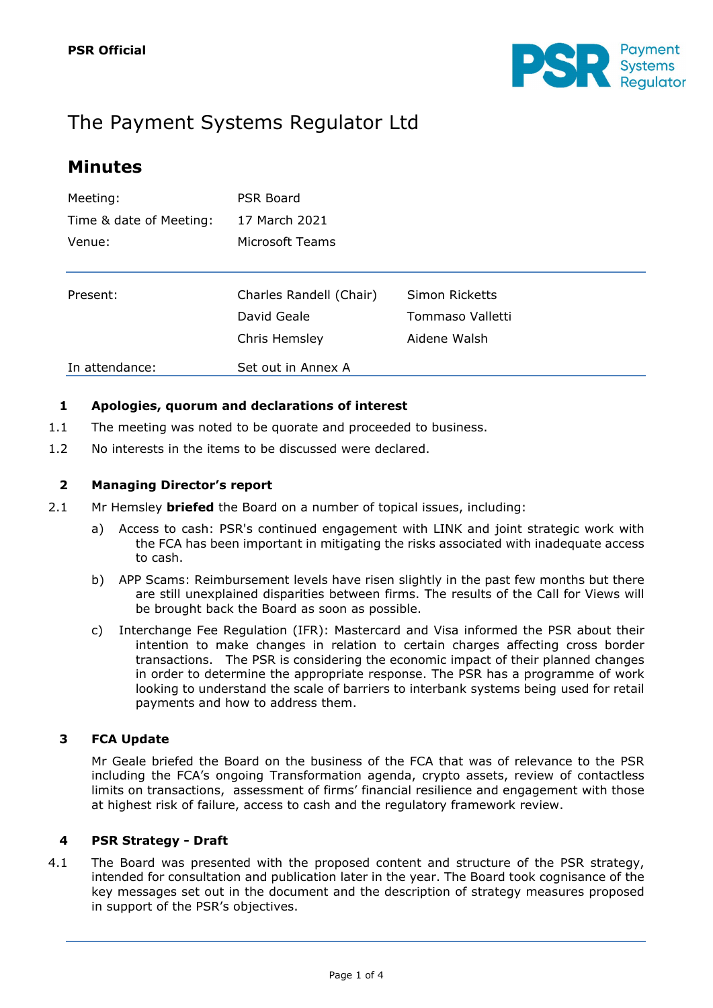

# The Payment Systems Regulator Ltd

## **Minutes**

| Meeting:                | <b>PSR Board</b>        |                  |  |
|-------------------------|-------------------------|------------------|--|
| Time & date of Meeting: | 17 March 2021           |                  |  |
| Venue:                  | Microsoft Teams         |                  |  |
|                         |                         |                  |  |
| Present:                | Charles Randell (Chair) | Simon Ricketts   |  |
|                         | David Geale             | Tommaso Valletti |  |
|                         | Chris Hemsley           | Aidene Walsh     |  |
| In attendance:          | Set out in Annex A      |                  |  |

## **1 Apologies, quorum and declarations of interest**

- 1.1 The meeting was noted to be quorate and proceeded to business.
- 1.2 No interests in the items to be discussed were declared.

## **2 Managing Director's report**

- 2.1 Mr Hemsley **briefed** the Board on a number of topical issues, including:
	- a) Access to cash: PSR's continued engagement with LINK and joint strategic work with the FCA has been important in mitigating the risks associated with inadequate access to cash.
	- b) APP Scams: Reimbursement levels have risen slightly in the past few months but there are still unexplained disparities between firms. The results of the Call for Views will be brought back the Board as soon as possible.
	- c) Interchange Fee Regulation (IFR): Mastercard and Visa informed the PSR about their intention to make changes in relation to certain charges affecting cross border transactions. The PSR is considering the economic impact of their planned changes in order to determine the appropriate response. The PSR has a programme of work looking to understand the scale of barriers to interbank systems being used for retail payments and how to address them.

## **3 FCA Update**

Mr Geale briefed the Board on the business of the FCA that was of relevance to the PSR including the FCA's ongoing Transformation agenda, crypto assets, review of contactless limits on transactions, assessment of firms' financial resilience and engagement with those at highest risk of failure, access to cash and the regulatory framework review.

#### **4 PSR Strategy - Draft**

4.1 The Board was presented with the proposed content and structure of the PSR strategy, intended for consultation and publication later in the year. The Board took cognisance of the key messages set out in the document and the description of strategy measures proposed in support of the PSR's objectives.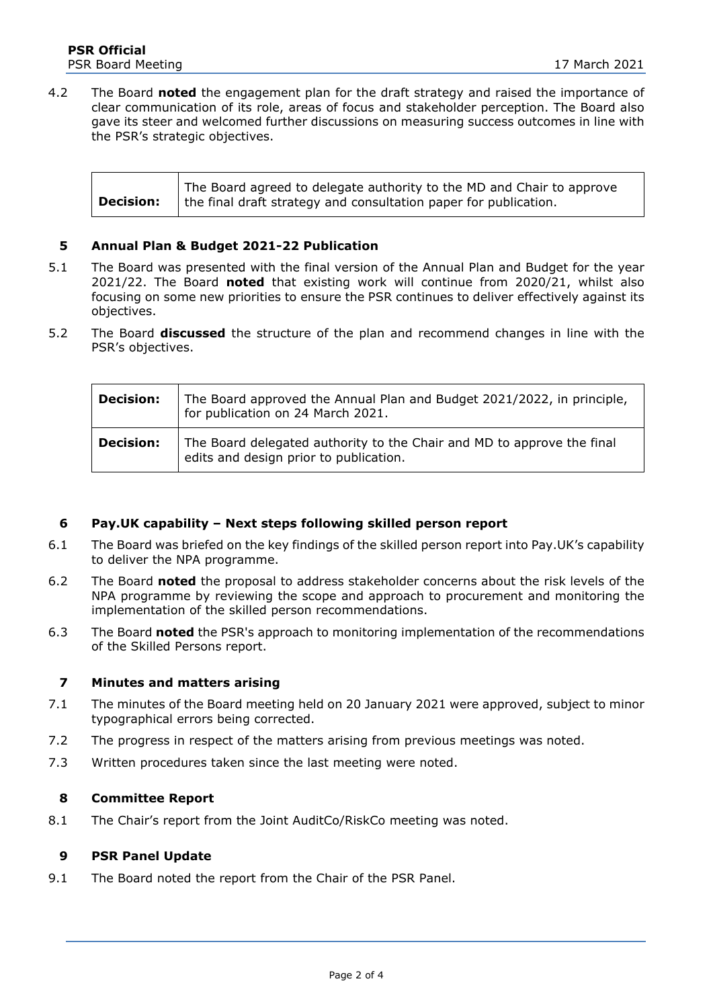4.2 The Board **noted** the engagement plan for the draft strategy and raised the importance of clear communication of its role, areas of focus and stakeholder perception. The Board also gave its steer and welcomed further discussions on measuring success outcomes in line with the PSR's strategic objectives.

|                  | The Board agreed to delegate authority to the MD and Chair to approve |
|------------------|-----------------------------------------------------------------------|
| <b>Decision:</b> | the final draft strategy and consultation paper for publication.      |

#### **5 Annual Plan & Budget 2021-22 Publication**

- 5.1 The Board was presented with the final version of the Annual Plan and Budget for the year 2021/22. The Board **noted** that existing work will continue from 2020/21, whilst also focusing on some new priorities to ensure the PSR continues to deliver effectively against its objectives.
- 5.2 The Board **discussed** the structure of the plan and recommend changes in line with the PSR's objectives.

| <b>Decision:</b> | The Board approved the Annual Plan and Budget 2021/2022, in principle,<br>for publication on 24 March 2021.      |
|------------------|------------------------------------------------------------------------------------------------------------------|
| <b>Decision:</b> | The Board delegated authority to the Chair and MD to approve the final<br>edits and design prior to publication. |

#### **6 Pay.UK capability – Next steps following skilled person report**

- 6.1 The Board was briefed on the key findings of the skilled person report into Pay.UK's capability to deliver the NPA programme.
- 6.2 The Board **noted** the proposal to address stakeholder concerns about the risk levels of the NPA programme by reviewing the scope and approach to procurement and monitoring the implementation of the skilled person recommendations.
- 6.3 The Board **noted** the PSR's approach to monitoring implementation of the recommendations of the Skilled Persons report.

#### **7 Minutes and matters arising**

- 7.1 The minutes of the Board meeting held on 20 January 2021 were approved, subject to minor typographical errors being corrected.
- 7.2 The progress in respect of the matters arising from previous meetings was noted.
- 7.3 Written procedures taken since the last meeting were noted.

#### **8 Committee Report**

8.1 The Chair's report from the Joint AuditCo/RiskCo meeting was noted.

#### **9 PSR Panel Update**

9.1 The Board noted the report from the Chair of the PSR Panel.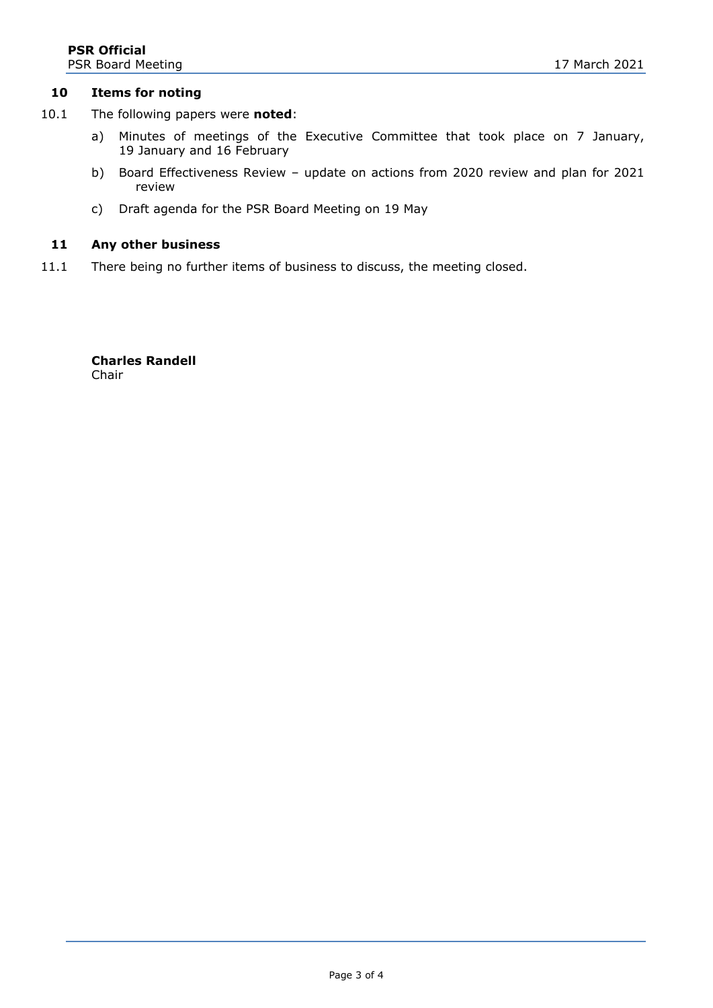#### **10 Items for noting**

- 10.1 The following papers were **noted**:
	- a) Minutes of meetings of the Executive Committee that took place on 7 January, 19 January and 16 February
	- b) Board Effectiveness Review update on actions from 2020 review and plan for 2021 review
	- c) Draft agenda for the PSR Board Meeting on 19 May

#### **11 Any other business**

11.1 There being no further items of business to discuss, the meeting closed.

**Charles Randell** Chair